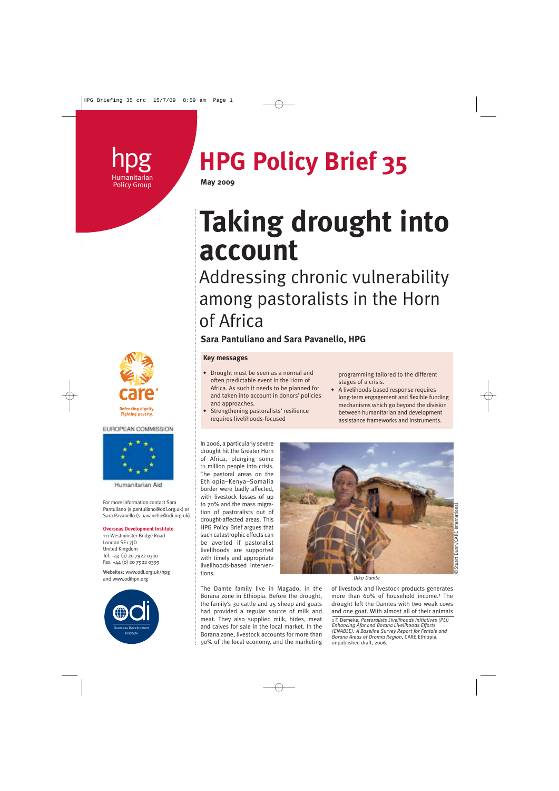# **Policy Group**

## **hpg HPG Policy Brief 35**

### **Taking drought into account**

### Addressing chronic vulnerability among pastoralists in the Horn of Africa

#### **Sara Pantuliano and Sara Pavanello, HPG**

#### **Key messages**

- Drought must be seen as a normal and often predictable event in the Horn of Africa. As such it needs to be planned for and taken into account in donors' policies and approaches.
- Strengthening pastoralists' resilience requires livelihoods-focused

programming tailored to the different stages of a crisis.

• A livelihoods-based response requires long-term engagement and flexible funding mechanisms which go beyond the division between humanitarian and development assistance frameworks and instruments.

In 2006, a particularly severe drought hit the Greater Horn of Africa, plunging some 11 million people into crisis. The pastoral areas on the Ethiopia–Kenya–Somalia border were badly affected, with livestock losses of up to 70% and the mass migration of pastoralists out of drought-affected areas. This HPG Policy Brief argues that such catastrophic effects can be averted if pastoralist livelihoods are supported with timely and appropriate livelihoods-based interventions.



The Damte family live in Magado, in the Borana zone in Ethiopia. Before the drought, the family's 30 cattle and 25 sheep and goats had provided a regular source of milk and meat. They also supplied milk, hides, meat and calves for sale in the local market. In the Borana zone, livestock accounts for more than 90% of the local economy, and the marketing *Diko Damte*

of livestock and livestock products generates more than 60% of household income.<sup>1</sup> The drought left the Damtes with two weak cows and one goat. With almost all of their animals

1 F. Demeke, *Pastoralists Livelihoods Initiatives (PLI) Enhancing Afar and Borana Livelihoods Efforts (ENABLE): A Baseline Survey Report for Fentale and Borana Areas of Oromia Region*, CARE Ethiopia, unpublished draft, 2006.



EUROPEAN COMMISSION



Humanitarian Aid

For more information contact Sara Pantuliano (s.pantuliano@odi.org.uk) or Sara Pavanello (s.pavanello@odi.org.uk).

#### **Overseas Development Institute**

111 Westminster Bridge Road London SE1 7JD United Kingdom Tel. +44 (0) 20 7922 0300 Fax. +44 (0) 20 7922 0399

Websites: www.odi.org.uk/hpg and www.odihpn.org

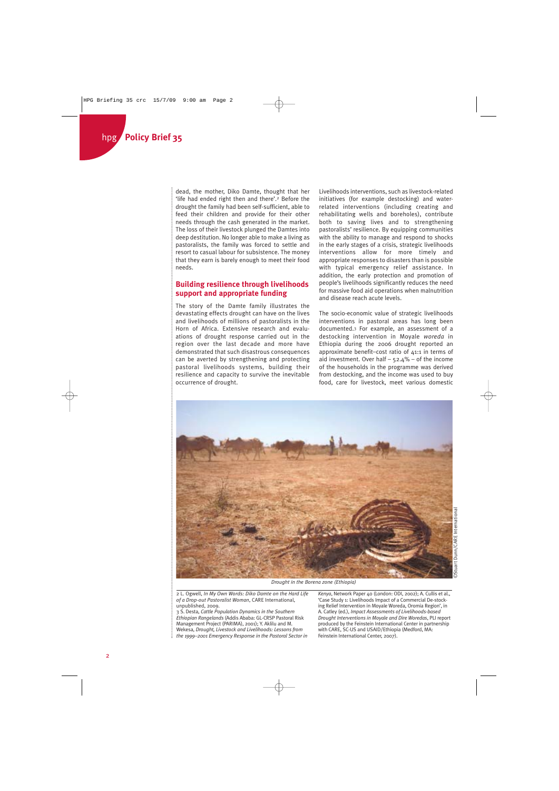dead, the mother, Diko Damte, thought that her 'life had ended right then and there'.2 Before the drought the family had been self-sufficient, able to feed their children and provide for their other needs through the cash generated in the market. The loss of their livestock plunged the Damtes into deep destitution. No longer able to make a living as pastoralists, the family was forced to settle and resort to casual labour for subsistence. The money that they earn is barely enough to meet their food needs.

#### **Building resilience through livelihoods support and appropriate funding**

The story of the Damte family illustrates the devastating effects drought can have on the lives and livelihoods of millions of pastoralists in the Horn of Africa. Extensive research and evaluations of drought response carried out in the region over the last decade and more have demonstrated that such disastrous consequences can be averted by strengthening and protecting pastoral livelihoods systems, building their resilience and capacity to survive the inevitable occurrence of drought.

Livelihoods interventions, such as livestock-related initiatives (for example destocking) and waterrelated interventions (including creating and rehabilitating wells and boreholes), contribute both to saving lives and to strengthening pastoralists' resilience. By equipping communities with the ability to manage and respond to shocks in the early stages of a crisis, strategic livelihoods interventions allow for more timely and appropriate responses to disasters than is possible with typical emergency relief assistance. In addition, the early protection and promotion of people's livelihoods significantly reduces the need for massive food aid operations when malnutrition and disease reach acute levels.

The socio-economic value of strategic livelihoods interventions in pastoral areas has long been documented.3 For example, an assessment of a destocking intervention in Moyale *woreda* in Ethiopia during the 2006 drought reported an approximate benefit–cost ratio of 41:1 in terms of aid investment. Over half  $-52.4\%$  – of the income of the households in the programme was derived from destocking, and the income was used to buy food, care for livestock, meet various domestic



*Drought in the Borena zone (Ethiopia)*

2 L. Ogwell, *In My Own Words: Diko Damte on the Hard Life of a Drop-out Pastoralist Woman*, CARE International, unpublished, 2009.

3 S. Desta, *Cattle Population Dynamics in the Southern Ethiopian Rangelands* (Addis Ababa: GL-CRSP Pastoral Risk Management Project (PARIMA), 2001); Y. Aklilu and M. Wekesa, *Drought, Livestock and Livelihoods: Lessons from the 1999–2001 Emergency Response in the Pastoral Sector in*

*Kenya*, Network Paper 40 (London: ODI, 2002); A. Cullis et al., 'Case Study 1: Livelihoods Impact of a Commercial De-stocking Relief Intervention in Moyale Woreda, Oromia Region', in A. Catley (ed.), *Impact Assessments of Livelihoods-based Drought Interventions in Moyale and Dire Woredas*, PLI report produced by the Feinstein International Center in partnership with CARE, SC-US and USAID/Ethiopia (Medford, MA: Feinstein International Center, 2007).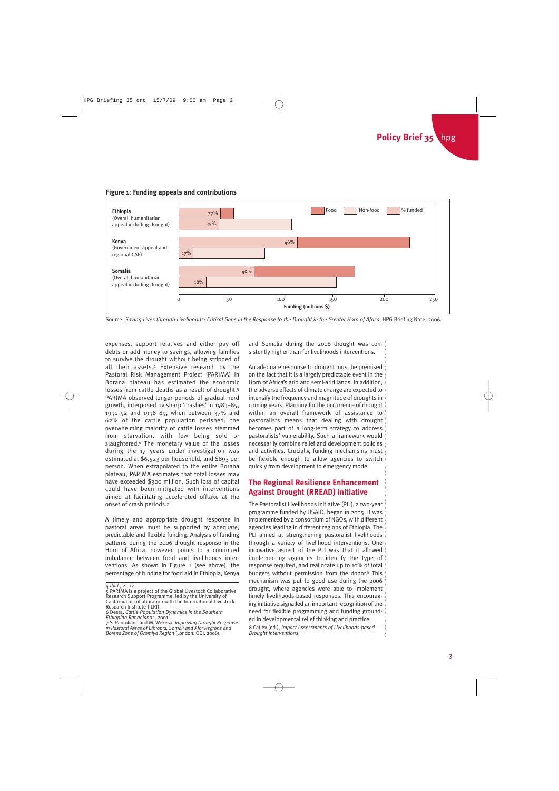#### **Figure 1: Funding appeals and contributions**



Source: *Saving Lives through Livelihoods: Critical Gaps in the Response to the Drought in the Greater Horn of Africa*, HPG Briefing Note, 2006.

expenses, support relatives and either pay off debts or add money to savings, allowing families to survive the drought without being stripped of all their assets.4 Extensive research by the Pastoral Risk Management Project (PARIMA) in Borana plateau has estimated the economic losses from cattle deaths as a result of drought.5 PARIMA observed longer periods of gradual herd growth, interposed by sharp 'crashes' in 1983–85, 1991–92 and 1998–89, when between 37% and 62% of the cattle population perished; the overwhelming majority of cattle losses stemmed from starvation, with few being sold or slaughtered.6 The monetary value of the losses during the 17 years under investigation was estimated at \$6,523 per household, and \$893 per person. When extrapolated to the entire Borana plateau, PARIMA estimates that total losses may have exceeded \$300 million. Such loss of capital could have been mitigated with interventions aimed at facilitating accelerated offtake at the onset of crash periods.7

A timely and appropriate drought response in pastoral areas must be supported by adequate, predictable and flexible funding. Analysis of funding patterns during the 2006 drought response in the Horn of Africa, however, points to a continued imbalance between food and livelihoods interventions. As shown in Figure 1 (see above), the percentage of funding for food aid in Ethiopia, Kenya

and Somalia during the 2006 drought was consistently higher than for livelihoods interventions.

An adequate response to drought must be premised on the fact that it is a largely predictable event in the Horn of Africa's arid and semi-arid lands. In addition, the adverse effects of climate change are expected to intensify the frequency and magnitude of droughts in coming years. Planning for the occurrence of drought within an overall framework of assistance to pastoralists means that dealing with drought becomes part of a long-term strategy to address pastoralists' vulnerability. Such a framework would necessarily combine relief and development policies and activities. Crucially, funding mechanisms must be flexible enough to allow agencies to switch quickly from development to emergency mode.

#### **The Regional Resilience Enhancement Against Drought (RREAD) initiative**

The Pastoralist Livelihoods Initiative (PLI), a two-year programme funded by USAID, began in 2005. It was implemented by a consortium of NGOs, with different agencies leading in different regions of Ethiopia. The PLI aimed at strengthening pastoralist livelihoods through a variety of livelihood interventions. One innovative aspect of the PLI was that it allowed implementing agencies to identify the type of response required, and reallocate up to 10% of total budgets without permission from the donor.8 This mechanism was put to good use during the 2006 drought, where agencies were able to implement timely livelihoods-based responses. This encouraging initiative signalled an important recognition of the need for flexible programming and funding grounded in developmental relief thinking and practice.

8 Catley (ed.), *Impact Assessments of Livelihoods-based Drought Interventions*.

<sup>4</sup> *Ibid*., 2007. 5 PARIMA is a project of the Global Livestock Collaborative Research Support Programme, led by the University of California in collaboration with the International Livestock Research Institute (ILRI).

<sup>6</sup> Desta, *Cattle Population Dynamics in the Southern*

*Ethiopian Rangelands*, 2001. 7 S. Pantuliano and M. Wekesa, *Improving Drought Response in Pastoral Areas of Ethiopia. Somali and Afar Regions and Borena Zone of Oromiya Region* (London: ODI, 2008).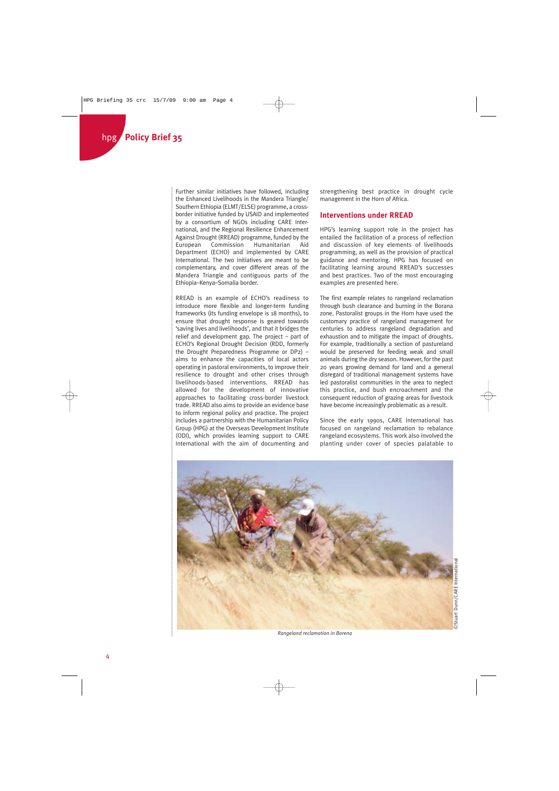Further similar initiatives have followed, including the Enhanced Livelihoods in the Mandera Triangle/ Southern Ethiopia (ELMT/ELSE) programme, a crossborder initiative funded by USAID and implemented by a consortium of NGOs including CARE International, and the Regional Resilience Enhancement Against Drought (RREAD) programme, funded by the<br>European Commission Humanitarian Aid Humanitarian Aid Department (ECHO) and implemented by CARE International. The two initiatives are meant to be complementary, and cover different areas of the Mandera Triangle and contiguous parts of the Ethiopia–Kenya–Somalia border.

RREAD is an example of ECHO's readiness to introduce more flexible and longer-term funding frameworks (its funding envelope is 18 months), to ensure that drought response is geared towards 'saving lives and livelihoods', and that it bridges the relief and development gap. The project – part of ECHO's Regional Drought Decision (RDD, formerly the Drought Preparedness Programme or DP2) – aims to enhance the capacities of local actors operating in pastoral environments, to improve their resilience to drought and other crises through livelihoods-based interventions. RREAD has allowed for the development of innovative approaches to facilitating cross-border livestock trade. RREAD also aims to provide an evidence base to inform regional policy and practice. The project includes a partnership with the Humanitarian Policy Group (HPG) at the Overseas Development Institute (ODI), which provides learning support to CARE International with the aim of documenting and

strengthening best practice in drought cycle management in the Horn of Africa.

#### **Interventions under RREAD**

HPG's learning support role in the project has entailed the facilitation of a process of reflection and discussion of key elements of livelihoods programming, as well as the provision of practical guidance and mentoring. HPG has focused on facilitating learning around RREAD's successes and best practices. Two of the most encouraging examples are presented here.

The first example relates to rangeland reclamation through bush clearance and burning in the Borana zone. Pastoralist groups in the Horn have used the customary practice of rangeland management for centuries to address rangeland degradation and exhaustion and to mitigate the impact of droughts. For example, traditionally a section of pastureland would be preserved for feeding weak and small animals during the dry season. However, for the past 20 years growing demand for land and a general disregard of traditional management systems have led pastoralist communities in the area to neglect this practice, and bush encroachment and the consequent reduction of grazing areas for livestock have become increasingly problematic as a result.

Since the early 1990s, CARE International has focused on rangeland reclamation to rebalance rangeland ecosystems. This work also involved the planting under cover of species palatable to



*Rangeland reclamation in Borena*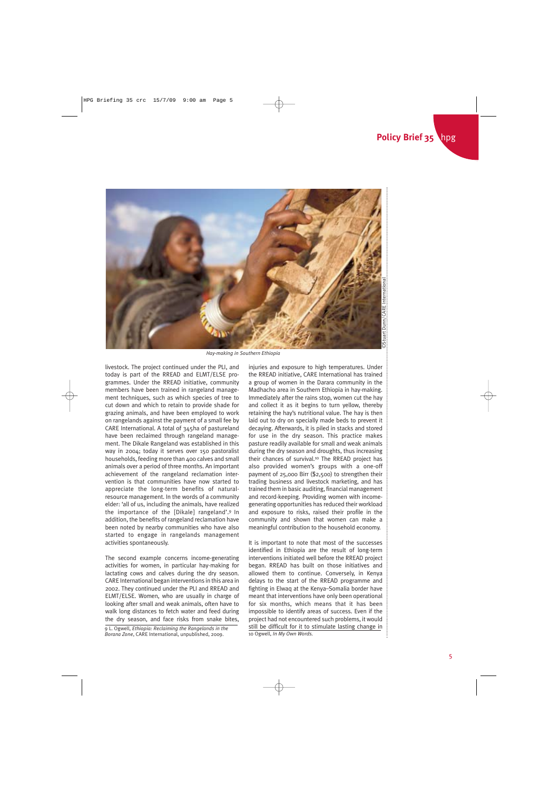

*Hay-making in Southern Ethiopia*

livestock. The project continued under the PLI, and today is part of the RREAD and ELMT/ELSE programmes. Under the RREAD initiative, community members have been trained in rangeland management techniques, such as which species of tree to cut down and which to retain to provide shade for grazing animals, and have been employed to work on rangelands against the payment of a small fee by CARE International. A total of 345ha of pastureland have been reclaimed through rangeland management. The Dikale Rangeland was established in this way in 2004; today it serves over 150 pastoralist households, feeding more than 400 calves and small animals over a period of three months. An important achievement of the rangeland reclamation intervention is that communities have now started to appreciate the long-term benefits of naturalresource management. In the words of a community elder: 'all of us, including the animals, have realized the importance of the [Dikale] rangeland'.9 In addition, the benefits of rangeland reclamation have been noted by nearby communities who have also started to engage in rangelands management activities spontaneously.

The second example concerns income-generating activities for women, in particular hay-making for lactating cows and calves during the dry season. CARE International began interventions in this area in 2002. They continued under the PLI and RREAD and ELMT/ELSE. Women, who are usually in charge of looking after small and weak animals, often have to walk long distances to fetch water and feed during the dry season, and face risks from snake bites,

9 L. Ogwell, *Ethiopia: Reclaiming the Rangelands in the Borana Zone*, CARE International, unpublished, 2009. 10 Ogwell, *In My Own Words.*

injuries and exposure to high temperatures. Under the RREAD initiative, CARE International has trained a group of women in the Darara community in the Madhacho area in Southern Ethiopia in hay-making. Immediately after the rains stop, women cut the hay and collect it as it begins to turn yellow, thereby retaining the hay's nutritional value. The hay is then laid out to dry on specially made beds to prevent it decaying. Afterwards, it is piled in stacks and stored for use in the dry season. This practice makes pasture readily available for small and weak animals during the dry season and droughts, thus increasing their chances of survival.10 The RREAD project has also provided women's groups with a one-off payment of 25,000 Birr (\$2,500) to strengthen their trading business and livestock marketing, and has trained them in basic auditing, financial management and record-keeping. Providing women with incomegenerating opportunities has reduced their workload and exposure to risks, raised their profile in the community and shown that women can make a meaningful contribution to the household economy. step and excelse the method and multiple in the David of the RREAD initiative, CARE International has trained a group of women in the Darara community in the and collect it as it begins to turn yellow, thereby and collect

It is important to note that most of the successes identified in Ethiopia are the result of long-term interventions initiated well before the RREAD project began. RREAD has built on those initiatives and allowed them to continue. Conversely, in Kenya delays to the start of the RREAD programme and fighting in Elwaq at the Kenya–Somalia border have meant that interventions have only been operational for six months, which means that it has been impossible to identify areas of success. Even if the project had not encountered such problems, it would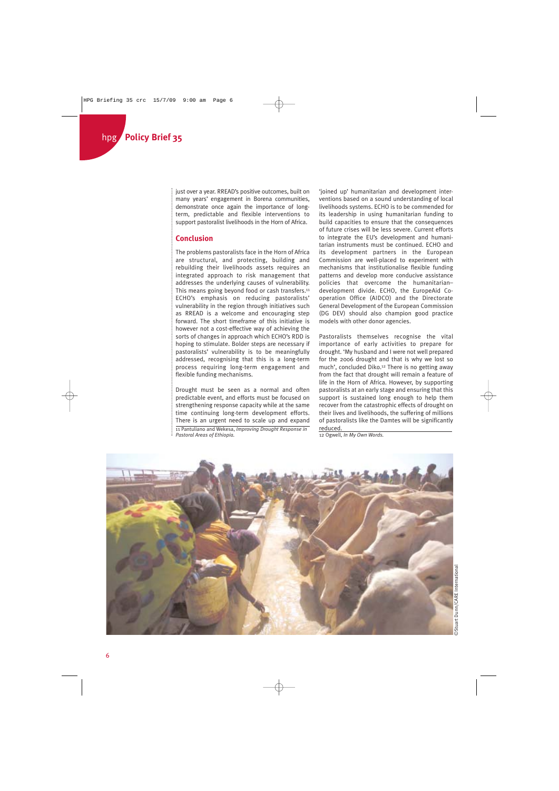just over a year. RREAD's positive outcomes, built on many years' engagement in Borena communities, demonstrate once again the importance of longterm, predictable and flexible interventions to support pastoralist livelihoods in the Horn of Africa.

#### **Conclusion**

The problems pastoralists face in the Horn of Africa are structural, and protecting, building and rebuilding their livelihoods assets requires an integrated approach to risk management that addresses the underlying causes of vulnerability. This means going beyond food or cash transfers.11 ECHO's emphasis on reducing pastoralists' vulnerability in the region through initiatives such as RREAD is a welcome and encouraging step forward. The short timeframe of this initiative is however not a cost-effective way of achieving the sorts of changes in approach which ECHO's RDD is hoping to stimulate. Bolder steps are necessary if pastoralists' vulnerability is to be meaningfully addressed, recognising that this is a long-term process requiring long-term engagement and flexible funding mechanisms.

Drought must be seen as a normal and often predictable event, and efforts must be focused on strengthening response capacity while at the same time continuing long-term development efforts. There is an urgent need to scale up and expand 11 Pantuliano and Wekesa, *Improving Drought Response in Pastoral Areas of Ethiopia.*

'joined up' humanitarian and development interventions based on a sound understanding of local livelihoods systems. ECHO is to be commended for its leadership in using humanitarian funding to build capacities to ensure that the consequences of future crises will be less severe. Current efforts to integrate the EU's development and humanitarian instruments must be continued. ECHO and its development partners in the European Commission are well-placed to experiment with mechanisms that institutionalise flexible funding patterns and develop more conducive assistance policies that overcome the humanitarian– development divide. ECHO, the EuropeAid Cooperation Office (AIDCO) and the Directorate General Development of the European Commission (DG DEV) should also champion good practice models with other donor agencies.

Pastoralists themselves recognise the vital importance of early activities to prepare for drought. 'My husband and I were not well prepared for the 2006 drought and that is why we lost so much', concluded Diko.12 There is no getting away from the fact that drought will remain a feature of life in the Horn of Africa. However, by supporting pastoralists at an early stage and ensuring that this support is sustained long enough to help them recover from the catastrophic effects of drought on their lives and livelihoods, the suffering of millions of pastoralists like the Damtes will be significantly reduced.

12 Ogwell, *In My Own Words.*

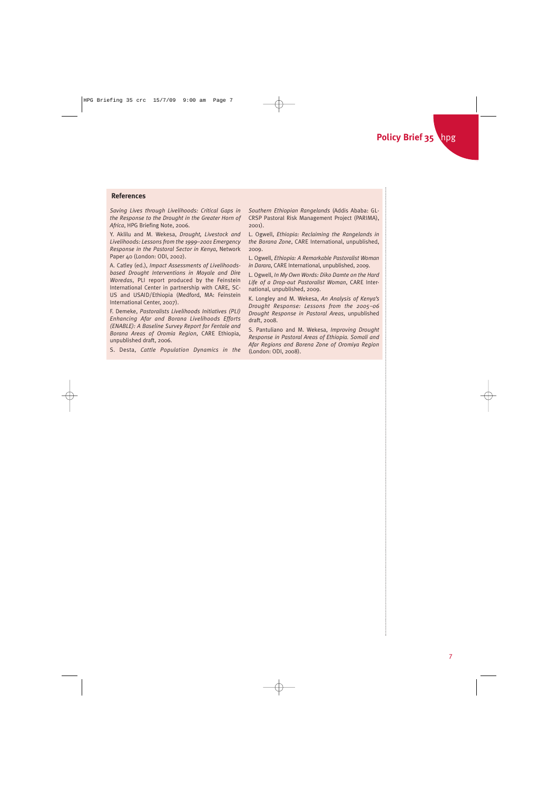#### **References**

*Saving Lives through Livelihoods: Critical Gaps in the Response to the Drought in the Greater Horn of Africa*, HPG Briefing Note, 2006.

Y. Aklilu and M. Wekesa, *Drought, Livestock and Livelihoods: Lessons from the 1999–2001 Emergency Response in the Pastoral Sector in Kenya*, Network Paper 40 (London: ODI, 2002).

A. Catley (ed.), *Impact Assessments of Livelihoodsbased Drought Interventions in Moyale and Dire Woredas*, PLI report produced by the Feinstein International Center in partnership with CARE, SC-US and USAID/Ethiopia (Medford, MA: Feinstein International Center, 2007).

F. Demeke, *Pastoralists Livelihoods Initiatives (PLI) Enhancing Afar and Borana Livelihoods Efforts (ENABLE): A Baseline Survey Report for Fentale and Borana Areas of Oromia Region*, CARE Ethiopia, unpublished draft, 2006.

S. Desta, *Cattle Population Dynamics in the*

*Southern Ethiopian Rangelands* (Addis Ababa: GL-CRSP Pastoral Risk Management Project (PARIMA), 2001).

L. Ogwell, *Ethiopia: Reclaiming the Rangelands in the Borana Zone*, CARE International, unpublished, 2009.

L. Ogwell, *Ethiopia: A Remarkable Pastoralist Woman in Darara*, CARE International, unpublished, 2009.

L. Ogwell, *In My Own Words: Diko Damte on the Hard Life of a Drop-out Pastoralist Woman*, CARE International, unpublished, 2009.

K. Longley and M. Wekesa, *An Analysis of Kenya's Drought Response: Lessons from the 2005–06 Drought Response in Pastoral Areas*, unpublished draft, 2008.

S. Pantuliano and M. Wekesa, *Improving Drought Response in Pastoral Areas of Ethiopia. Somali and Afar Regions and Borena Zone of Oromiya Region* (London: ODI, 2008).